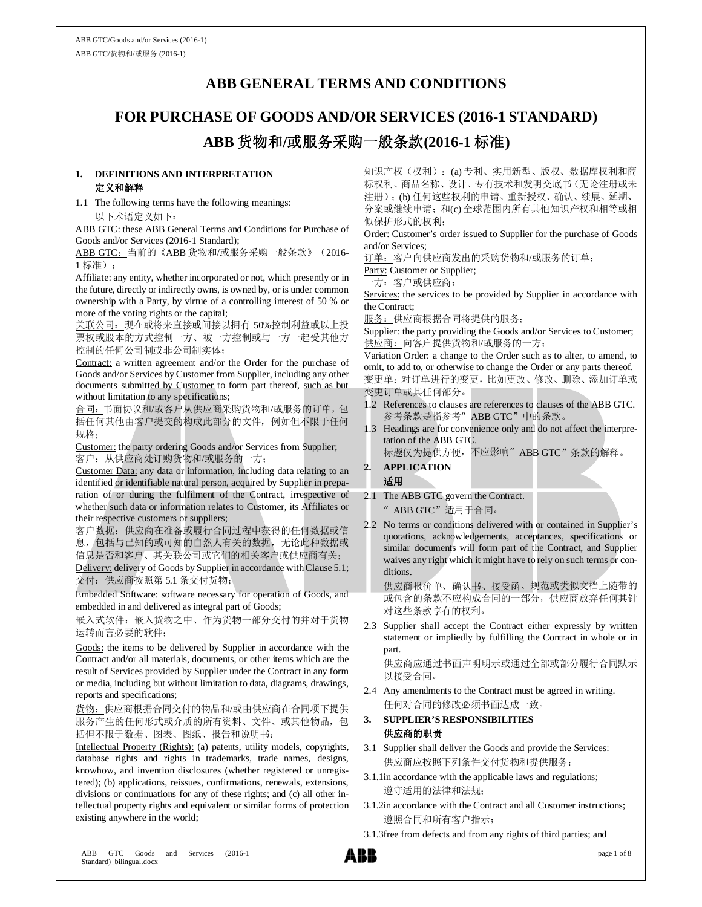### **ABB GENERAL TERMS AND CONDITIONS**

# **FOR PURCHASE OF GOODS AND/OR SERVICES (2016-1 STANDARD) ABB** 货物和**/**或服务采购一般条款**(2016-1** 标准**)**

#### **1. DEFINITIONS AND INTERPRETATION** 定义和解释

1.1 The following terms have the following meanings: 以下术语定义如下:

ABB GTC: these ABB General Terms and Conditions for Purchase of Goods and/or Services (2016-1 Standard);

ABB GTC: 当前的《ABB 货物和/或服务采购一般条款》(2016-1 标准);

Affiliate: any entity, whether incorporated or not, which presently or in the future, directly or indirectly owns, is owned by, or is under common ownership with a Party, by virtue of a controlling interest of 50 % or more of the voting rights or the capital;

关联公司:现在或将来直接或间接以拥有 50%控制利益或以上投 票权或股本的方式控制一方、被一方控制或与一方一起受其他方 控制的任何公司制或非公司制实体;

Contract: a written agreement and/or the Order for the purchase of Goods and/or Services by Customer from Supplier, including any other documents submitted by Customer to form part thereof, such as but without limitation to any specifications;

合同:书面协议和/或客户从供应商采购货物和/或服务的订单,包 括任何其他由客户提交的构成此部分的文件,例如但不限于任何 规格;

Customer: the party ordering Goods and/or Services from Supplier; 客户:从供应商处订购货物和/或服务的一方;

Customer Data: any data or information, including data relating to an identified or identifiable natural person, acquired by Supplier in preparation of or during the fulfilment of the Contract, irrespective of whether such data or information relates to Customer, its Affiliates or their respective customers or suppliers;

客户数据:供应商在准备或履行合同过程中获得的任何数据或信 息,包括与已知的或可知的自然人有关的数据,无论此种数据或 信息是否和客户、其关联公司或它们的相关客户或供应商有关;

Delivery: delivery of Goods by Supplier in accordance with Clause 5.1; 交付: 供应商按照第 5.1 条交付货物;

Embedded Software: software necessary for operation of Goods, and embedded in and delivered as integral part of Goods;

嵌入式软件:嵌入货物之中、作为货物一部分交付的并对于货物 运转而言必要的软件;

Goods: the items to be delivered by Supplier in accordance with the Contract and/or all materials, documents, or other items which are the result of Services provided by Supplier under the Contract in any form or media, including but without limitation to data, diagrams, drawings, reports and specifications;

货物:供应商根据合同交付的物品和/或由供应商在合同项下提供 服务产生的任何形式或介质的所有资料、文件、或其他物品,包 括但不限于数据、图表、图纸、报告和说明书;

Intellectual Property (Rights): (a) patents, utility models, copyrights, database rights and rights in trademarks, trade names, designs, knowhow, and invention disclosures (whether registered or unregistered); (b) applications, reissues, confirmations, renewals, extensions, divisions or continuations for any of these rights; and (c) all other intellectual property rights and equivalent or similar forms of protection existing anywhere in the world;

知识产权(权利):(a) 专利、实用新型、版权、数据库权利和商 标权利、商品名称、设计、专有技术和发明交底书(无论注册或未 注册);(b) 任何这些权利的申请、重新授权、确认、续展、延期、 分案或继续申请;和(c) 全球范围内所有其他知识产权和相等或相 似保护形式的权利;

Order: Customer's order issued to Supplier for the purchase of Goods and/or Services;

订单:客户向供应商发出的采购货物和/或服务的订单;

Party: Customer or Supplier;

一方:客户或供应商;

Services: the services to be provided by Supplier in accordance with the Contract;

服务: 供应商根据合同将提供的服务;

Supplier: the party providing the Goods and/or Services to Customer; 供应商:向客户提供货物和/或服务的一方;

Variation Order: a change to the Order such as to alter, to amend, to omit, to add to, or otherwise to change the Order or any parts thereof. 变更单:对订单进行的变更,比如更改、修改、删除、添加订单或 变更订单或其任何部分。

- 1.2 References to clauses are references to clauses of the ABB GTC. 参考条款是指参考"ABB GTC"中的条款。
- 1.3 Headings are for convenience only and do not affect the interpretation of the ABB GTC.

标题仅为提供方便, 不应影响"ABB GTC"条款的解释。

### **2. APPLICATION**

适用 2.1 The ABB GTC govern the Contract.

"ABB GTC"适用于合同。

2.2 No terms or conditions delivered with or contained in Supplier's quotations, acknowledgements, acceptances, specifications or similar documents will form part of the Contract, and Supplier waives any right which it might have to rely on such terms or conditions.

供应商报价单、确认书、接受函、规范或类似文档上随带的 或包含的条款不应构成合同的一部分,供应商放弃任何其针 对这些条款享有的权利。

2.3 Supplier shall accept the Contract either expressly by written statement or impliedly by fulfilling the Contract in whole or in part.

供应商应通过书面声明明示或通过全部或部分履行合同默示 以接受合同。

2.4 Any amendments to the Contract must be agreed in writing. 任何对合同的修改必须书面达成一致。

#### **3. SUPPLIER'S RESPONSIBILITIES** 供应商的职责

- 3.1 Supplier shall deliver the Goods and provide the Services: 供应商应按照下列条件交付货物和提供服务:
- 3.1.1in accordance with the applicable laws and regulations; 遵守适用的法律和法规;
- 3.1.2in accordance with the Contract and all Customer instructions; 遵照合同和所有客户指示;
- 3.1.3free from defects and from any rights of third parties; and

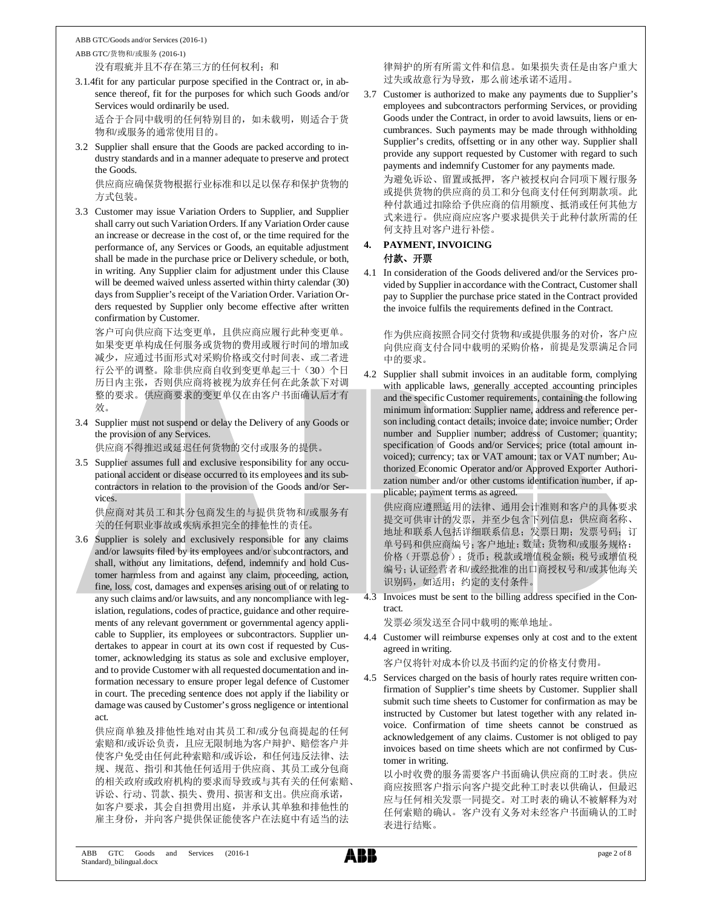ABB GTC/Goods and/or Services (2016-1) ABB GTC/货物和/或服务 (2016-1)

没有瑕疵并且不存在第三方的任何权利;和

3.1.4fit for any particular purpose specified in the Contract or, in absence thereof, fit for the purposes for which such Goods and/or Services would ordinarily be used.

适合于合同中载明的任何特别目的,如未载明,则适合于货 物和/或服务的通常使用目的。

3.2 Supplier shall ensure that the Goods are packed according to industry standards and in a manner adequate to preserve and protect the Goods.

供应商应确保货物根据行业标准和以足以保存和保护货物的 方式包装。

3.3 Customer may issue Variation Orders to Supplier, and Supplier shall carry out such Variation Orders. If any Variation Order cause an increase or decrease in the cost of, or the time required for the performance of, any Services or Goods, an equitable adjustment shall be made in the purchase price or Delivery schedule, or both, in writing. Any Supplier claim for adjustment under this Clause will be deemed waived unless asserted within thirty calendar (30) days from Supplier's receipt of the Variation Order. Variation Orders requested by Supplier only become effective after written confirmation by Customer.

客户可向供应商下达变更单,且供应商应履行此种变更单。 如果变更单构成任何服务或货物的费用或履行时间的增加或 减少,应通过书面形式对采购价格或交付时间表、或二者进 行公平的调整。除非供应商自收到变更单起三十(30)个日 历日内主张,否则供应商将被视为放弃任何在此条款下对调 整的要求。供应商要求的变更单仅在由客户书面确认后才有 效。

3.4 Supplier must not suspend or delay the Delivery of any Goods or the provision of any Services.

供应商不得推迟或延迟任何货物的交付或服务的提供。

3.5 Supplier assumes full and exclusive responsibility for any occupational accident or disease occurred to its employees and its subcontractors in relation to the provision of the Goods and/or Services.

供应商对其员工和其分包商发生的与提供货物和/或服务有 关的任何职业事故或疾病承担完全的排他性的责任。

3.6 Supplier is solely and exclusively responsible for any claims and/or lawsuits filed by its employees and/or subcontractors, and shall, without any limitations, defend, indemnify and hold Customer harmless from and against any claim, proceeding, action, fine, loss, cost, damages and expenses arising out of or relating to any such claims and/or lawsuits, and any noncompliance with legislation, regulations, codes of practice, guidance and other requirements of any relevant government or governmental agency applicable to Supplier, its employees or subcontractors. Supplier undertakes to appear in court at its own cost if requested by Customer, acknowledging its status as sole and exclusive employer, and to provide Customer with all requested documentation and information necessary to ensure proper legal defence of Customer in court. The preceding sentence does not apply if the liability or damage was caused by Customer's gross negligence or intentional act.

供应商单独及排他性地对由其员工和/或分包商提起的任何 索赔和/或诉讼负责,且应无限制地为客户辩护、赔偿客户并 使客户免受由任何此种索赔和/或诉讼,和任何违反法律、法 规、规范、指引和其他任何适用于供应商、其员工或分包商 的相关政府或政府机构的要求而导致或与其有关的任何索赔、 诉讼、行动、罚款、损失、费用、损害和支出。供应商承诺, 如客户要求,其会自担费用出庭,并承认其单独和排他性的 雇主身份,并向客户提供保证能使客户在法庭中有适当的法

律辩护的所有所需文件和信息。如果损失责任是由客户重大 过失或故意行为导致,那么前述承诺不适用。

3.7 Customer is authorized to make any payments due to Supplier's employees and subcontractors performing Services, or providing Goods under the Contract, in order to avoid lawsuits, liens or encumbrances. Such payments may be made through withholding Supplier's credits, offsetting or in any other way. Supplier shall provide any support requested by Customer with regard to such payments and indemnify Customer for any payments made.

为避免诉讼、留置或抵押,客户被授权向合同项下履行服务 或提供货物的供应商的员工和分包商支付任何到期款项。此 种付款通过扣除给予供应商的信用额度、抵消或任何其他方 式来进行。供应商应应客户要求提供关于此种付款所需的任 何支持且对客户进行补偿。

#### **4. PAYMENT, INVOICING**

#### 付款、开票

4.1 In consideration of the Goods delivered and/or the Services provided by Supplier in accordance with the Contract, Customer shall pay to Supplier the purchase price stated in the Contract provided the invoice fulfils the requirements defined in the Contract.

作为供应商按照合同交付货物和/或提供服务的对价,客户应 向供应商支付合同中载明的采购价格,前提是发票满足合同 中的要求。

4.2 Supplier shall submit invoices in an auditable form, complying with applicable laws, generally accepted accounting principles and the specific Customer requirements, containing the following minimum information: Supplier name, address and reference person including contact details; invoice date; invoice number; Order number and Supplier number; address of Customer; quantity; specification of Goods and/or Services; price (total amount invoiced); currency; tax or VAT amount; tax or VAT number; Authorized Economic Operator and/or Approved Exporter Authorization number and/or other customs identification number, if applicable; payment terms as agreed.

供应商应遵照适用的法律、通用会计准则和客户的具体要求 提交可供审计的发票,并至少包含下列信息: 供应商名称、 地址和联系人包括详细联系信息;发票日期;发票号码;订 单号码和供应商编号;客户地址;数量;货物和/或服务规格; 价格(开票总价);货币;税款或增值税金额;税号或增值税 编号;认证经营者和/或经批准的出口商授权号和/或其他海关 识别码,如适用;约定的支付条件。

4.3 Invoices must be sent to the billing address specified in the Contract.

发票必须发送至合同中载明的账单地址。

- 4.4 Customer will reimburse expenses only at cost and to the extent agreed in writing.
	- 客户仅将针对成本价以及书面约定的价格支付费用。
- 4.5 Services charged on the basis of hourly rates require written confirmation of Supplier's time sheets by Customer. Supplier shall submit such time sheets to Customer for confirmation as may be instructed by Customer but latest together with any related invoice. Confirmation of time sheets cannot be construed as acknowledgement of any claims. Customer is not obliged to pay invoices based on time sheets which are not confirmed by Customer in writing.

以小时收费的服务需要客户书面确认供应商的工时表。供应 商应按照客户指示向客户提交此种工时表以供确认,但最迟 应与任何相关发票一同提交。对工时表的确认不被解释为对 任何索赔的确认。客户没有义务对未经客户书面确认的工时 表进行结账。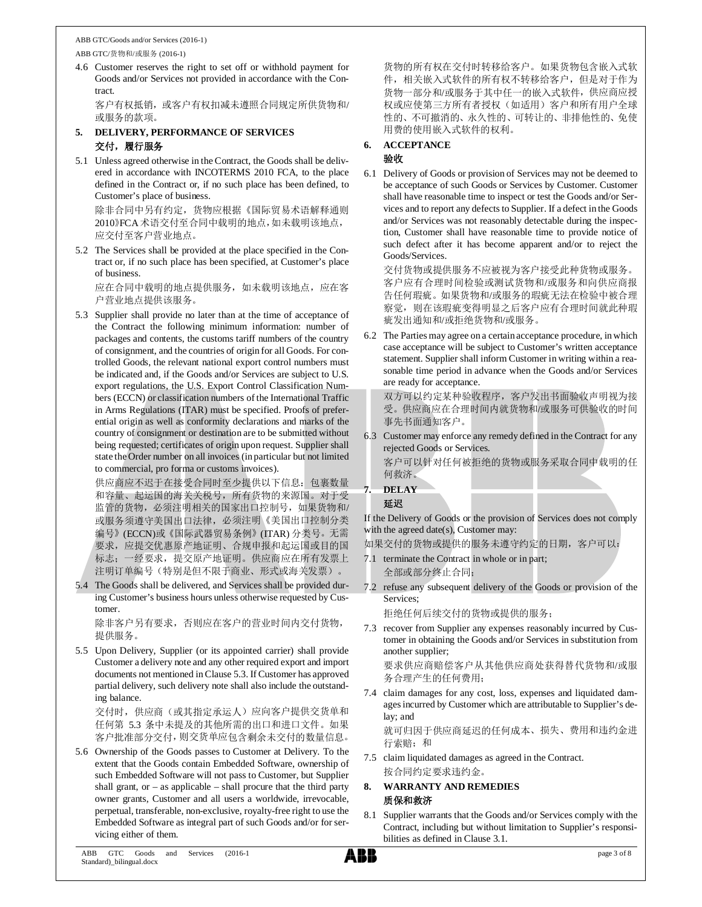ABB GTC/Goods and/or Services (2016-1) ABB GTC/货物和/或服务 (2016-1)

4.6 Customer reserves the right to set off or withhold payment for Goods and/or Services not provided in accordance with the Contract.

客户有权抵销,或客户有权扣减未遵照合同规定所供货物和/ 或服务的款项。

- **5. DELIVERY, PERFORMANCE OF SERVICES** 交付,履行服务
- 5.1 Unless agreed otherwise in the Contract, the Goods shall be delivered in accordance with INCOTERMS 2010 FCA, to the place defined in the Contract or, if no such place has been defined, to Customer's place of business.

除非合同中另有约定,货物应根据《国际贸易术语解释通则 2010》FCA术语交付至合同中载明的地点,如未载明该地点, 应交付至客户营业地点。

5.2 The Services shall be provided at the place specified in the Contract or, if no such place has been specified, at Customer's place of business.

应在合同中载明的地点提供服务,如未载明该地点,应在客 户营业地点提供该服务。

5.3 Supplier shall provide no later than at the time of acceptance of the Contract the following minimum information: number of packages and contents, the customs tariff numbers of the country of consignment, and the countries of origin for all Goods. For controlled Goods, the relevant national export control numbers must be indicated and, if the Goods and/or Services are subject to U.S. export regulations, the U.S. Export Control Classification Numbers (ECCN) or classification numbers of the International Traffic in Arms Regulations (ITAR) must be specified. Proofs of preferential origin as well as conformity declarations and marks of the country of consignment or destination are to be submitted without being requested; certificates of origin upon request. Supplier shall state the Order number on all invoices (in particular but not limited to commercial, pro forma or customs invoices).

供应商应不迟于在接受合同时至少提供以下信息:包裹数量 和容量、起运国的海关关税号,所有货物的来源国。对于受 监管的货物,必须注明相关的国家出口控制号,如果货物和/ 或服务须遵守美国出口法律,必须注明《美国出口控制分类 编号》(ECCN)或《国际武器贸易条例》(ITAR) 分类号。无需 要求,应提交优惠原产地证明、合规申报和起运国或目的国 标志;一经要求,提交原产地证明。供应商应在所有发票上 注明订单编号(特别是但不限于商业、形式或海关发票)。

5.4 The Goods shall be delivered, and Services shall be provided during Customer's business hours unless otherwise requested by Customer.

除非客户另有要求,否则应在客户的营业时间内交付货物, 提供服务。

5.5 Upon Delivery, Supplier (or its appointed carrier) shall provide Customer a delivery note and any other required export and import documents not mentioned in Clause 5.3. If Customer has approved partial delivery, such delivery note shall also include the outstanding balance.

交付时,供应商(或其指定承运人)应向客户提供交货单和 任何第 5.3 条中未提及的其他所需的出口和进口文件。如果 客户批准部分交付,则交货单应包含剩余未交付的数量信息。

5.6 Ownership of the Goods passes to Customer at Delivery. To the extent that the Goods contain Embedded Software, ownership of such Embedded Software will not pass to Customer, but Supplier shall grant, or – as applicable – shall procure that the third party owner grants, Customer and all users a worldwide, irrevocable, perpetual, transferable, non-exclusive, royalty-free right to use the Embedded Software as integral part of such Goods and/or for servicing either of them.

货物的所有权在交付时转移给客户。如果货物包含嵌入式软 件,相关嵌入式软件的所有权不转移给客户,但是对于作为 货物一部分和/或服务于其中任一的嵌入式软件,供应商应授 权或应使第三方所有者授权(如适用)客户和所有用户全球 性的、不可撤消的、永久性的、可转让的、非排他性的、免使 用费的使用嵌入式软件的权利。

#### **6. ACCEPTANCE**

#### 验收

6.1 Delivery of Goods or provision of Services may not be deemed to be acceptance of such Goods or Services by Customer. Customer shall have reasonable time to inspect or test the Goods and/or Services and to report any defects to Supplier. If a defect in the Goods and/or Services was not reasonably detectable during the inspection, Customer shall have reasonable time to provide notice of such defect after it has become apparent and/or to reject the Goods/Services.

交付货物或提供服务不应被视为客户接受此种货物或服务。 客户应有合理时间检验或测试货物和/或服务和向供应商报 告任何瑕疵。如果货物和/或服务的瑕疵无法在检验中被合理 察觉,则在该瑕疵变得明显之后客户应有合理时间就此种瑕 疵发出通知和/或拒绝货物和/或服务。

6.2 The Parties may agree on a certain acceptance procedure, in which case acceptance will be subject to Customer's written acceptance statement. Supplier shall inform Customer in writing within a reasonable time period in advance when the Goods and/or Services are ready for acceptance.

双方可以约定某种验收程序,客户发出书面验收声明视为接 受。供应商应在合理时间内就货物和/或服务可供验收的时间 事先书面通知客户。

- 6.3 Customer may enforce any remedy defined in the Contract for any rejected Goods or Services. 客户可以针对任何被拒绝的货物或服务采取合同中载明的任 何救济。
- **7. DELAY** 延迟

If the Delivery of Goods or the provision of Services does not comply with the agreed date(s), Customer may:

如果交付的货物或提供的服务未遵守约定的日期,客户可以:

- 7.1 terminate the Contract in whole or in part; 全部或部分终止合同;
- 7.2 refuse any subsequent delivery of the Goods or provision of the Services;

拒绝任何后续交付的货物或提供的服务;

7.3 recover from Supplier any expenses reasonably incurred by Customer in obtaining the Goods and/or Services in substitution from another supplier;

要求供应商赔偿客户从其他供应商处获得替代货物和/或服 务合理产生的任何费用;

7.4 claim damages for any cost, loss, expenses and liquidated damages incurred by Customer which are attributable to Supplier's delay; and 就可归因于供应商延迟的任何成本、损失、费用和违约金进

行索赔;和

7.5 claim liquidated damages as agreed in the Contract. 按合同约定要求违约金。

#### **8. WARRANTY AND REMEDIES** 质保和救济

8.1 Supplier warrants that the Goods and/or Services comply with the Contract, including but without limitation to Supplier's responsibilities as defined in Clause 3.1.

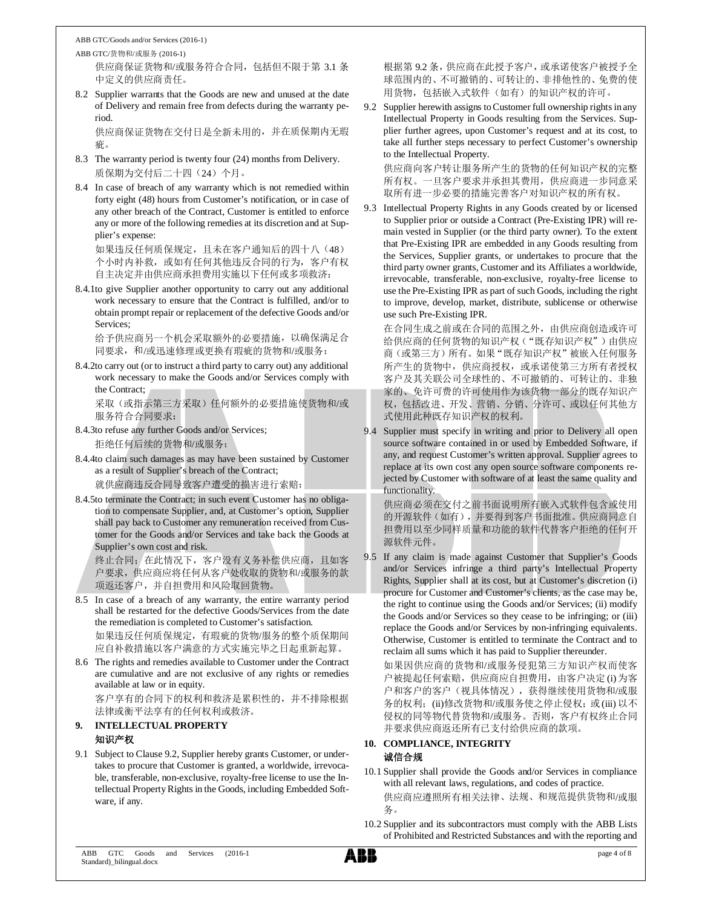ABB GTC/货物和/或服务 (2016-1) 供应商保证货物和/或服务符合合同,包括但不限于第 3.1 条

中定义的供应商责任。

8.2 Supplier warrants that the Goods are new and unused at the date of Delivery and remain free from defects during the warranty period.

供应商保证货物在交付日是全新未用的,并在质保期内无瑕 疵。

- 8.3 The warranty period is twenty four (24) months from Delivery. 质保期为交付后二十四(24)个月。
- 8.4 In case of breach of any warranty which is not remedied within forty eight (48) hours from Customer's notification, or in case of any other breach of the Contract, Customer is entitled to enforce any or more of the following remedies at its discretion and at Supplier's expense:

如果违反任何质保规定,且未在客户通知后的四十八(48) 个小时内补救,或如有任何其他违反合同的行为,客户有权 自主决定并由供应商承担费用实施以下任何或多项救济:

8.4.1to give Supplier another opportunity to carry out any additional work necessary to ensure that the Contract is fulfilled, and/or to obtain prompt repair or replacement of the defective Goods and/or Services;

给予供应商另一个机会采取额外的必要措施,以确保满足合 同要求,和/或迅速修理或更换有瑕疵的货物和/或服务;

8.4.2to carry out (or to instruct a third party to carry out) any additional work necessary to make the Goods and/or Services comply with the Contract;

采取(或指示第三方采取)任何额外的必要措施使货物和/或 服务符合合同要求;

- 8.4.3to refuse any further Goods and/or Services; 拒绝任何后续的货物和/或服务;
- 8.4.4to claim such damages as may have been sustained by Customer as a result of Supplier's breach of the Contract;

就供应商违反合同导致客户遭受的损害进行索赔;

8.4.5to terminate the Contract; in such event Customer has no obligation to compensate Supplier, and, at Customer's option, Supplier shall pay back to Customer any remuneration received from Customer for the Goods and/or Services and take back the Goods at Supplier's own cost and risk.

终止合同;在此情况下,客户没有义务补偿供应商,且如客 户要求,供应商应将任何从客户处收取的货物和/或服务的款 项返还客户,并自担费用和风险取回货物。

- 8.5 In case of a breach of any warranty, the entire warranty period shall be restarted for the defective Goods/Services from the date the remediation is completed to Customer's satisfaction. 如果违反任何质保规定,有瑕疵的货物/服务的整个质保期间
- 应自补救措施以客户满意的方式实施完毕之日起重新起算。 8.6 The rights and remedies available to Customer under the Contract are cumulative and are not exclusive of any rights or remedies available at law or in equity. 客户享有的合同下的权利和救济是累积性的,并不排除根据

法律或衡平法享有的任何权利或救济。

#### **9. INTELLECTUAL PROPERTY** 知识产权

9.1 Subject to Clause 9.2, Supplier hereby grants Customer, or undertakes to procure that Customer is granted, a worldwide, irrevocable, transferable, non-exclusive, royalty-free license to use the Intellectual Property Rights in the Goods, including Embedded Software, if any.

根据第 9.2 条,供应商在此授予客户,或承诺使客户被授予全 球范围内的、不可撤销的、可转让的、非排他性的、免费的使 用货物,包括嵌入式软件(如有)的知识产权的许可。

9.2 Supplier herewith assigns to Customer full ownership rights in any Intellectual Property in Goods resulting from the Services. Supplier further agrees, upon Customer's request and at its cost, to take all further steps necessary to perfect Customer's ownership to the Intellectual Property.

供应商向客户转让服务所产生的货物的任何知识产权的完整 所有权。一旦客户要求并承担其费用,供应商进一步同意采 取所有进一步必要的措施完善客户对知识产权的所有权。

9.3 Intellectual Property Rights in any Goods created by or licensed to Supplier prior or outside a Contract (Pre-Existing IPR) will remain vested in Supplier (or the third party owner). To the extent that Pre-Existing IPR are embedded in any Goods resulting from the Services, Supplier grants, or undertakes to procure that the third party owner grants, Customer and its Affiliates a worldwide, irrevocable, transferable, non-exclusive, royalty-free license to use the Pre-Existing IPR as part of such Goods, including the right to improve, develop, market, distribute, sublicense or otherwise use such Pre-Existing IPR.

在合同生成之前或在合同的范围之外,由供应商创造或许可 给供应商的任何货物的知识产权("既存知识产权")由供应 商(或第三方)所有。如果"既存知识产权"被嵌入任何服务 所产生的货物中,供应商授权,或承诺使第三方所有者授权 客户及其关联公司全球性的、不可撤销的、可转让的、非独 家的、免许可费的许可使用作为该货物一部分的既存知识产 权,包括改进、开发、营销、分销、分许可、或以任何其他方 式使用此种既存知识产权的权利。

9.4 Supplier must specify in writing and prior to Delivery all open source software contained in or used by Embedded Software, if any, and request Customer's written approval. Supplier agrees to replace at its own cost any open source software components rejected by Customer with software of at least the same quality and functionality.

供应商必须在交付之前书面说明所有嵌入式软件包含或使用 的开源软件(如有),并要得到客户书面批准。供应商同意自 担费用以至少同样质量和功能的软件代替客户拒绝的任何开 源软件元件。

9.5 If any claim is made against Customer that Supplier's Goods and/or Services infringe a third party's Intellectual Property Rights, Supplier shall at its cost, but at Customer's discretion (i) procure for Customer and Customer's clients, as the case may be, the right to continue using the Goods and/or Services; (ii) modify the Goods and/or Services so they cease to be infringing; or (iii) replace the Goods and/or Services by non-infringing equivalents. Otherwise, Customer is entitled to terminate the Contract and to reclaim all sums which it has paid to Supplier thereunder.

如果因供应商的货物和/或服务侵犯第三方知识产权而使客 户被提起任何索赔,供应商应自担费用,由客户决定 (i)为客 户和客户的客户(视具体情况),获得继续使用货物和/或服 务的权利; (ii)修改货物和/或服务使之停止侵权; 或(iii) 以不 侵权的同等物代替货物和/或服务。否则,客户有权终止合同 并要求供应商返还所有已支付给供应商的款项。

## **10. COMPLIANCE, INTEGRITY**

#### 诚信合规

10.1 Supplier shall provide the Goods and/or Services in compliance with all relevant laws, regulations, and codes of practice.

供应商应遵照所有相关法律、法规、和规范提供货物和/或服 务。

10.2 Supplier and its subcontractors must comply with the ABB Lists of Prohibited and Restricted Substances and with the reporting and

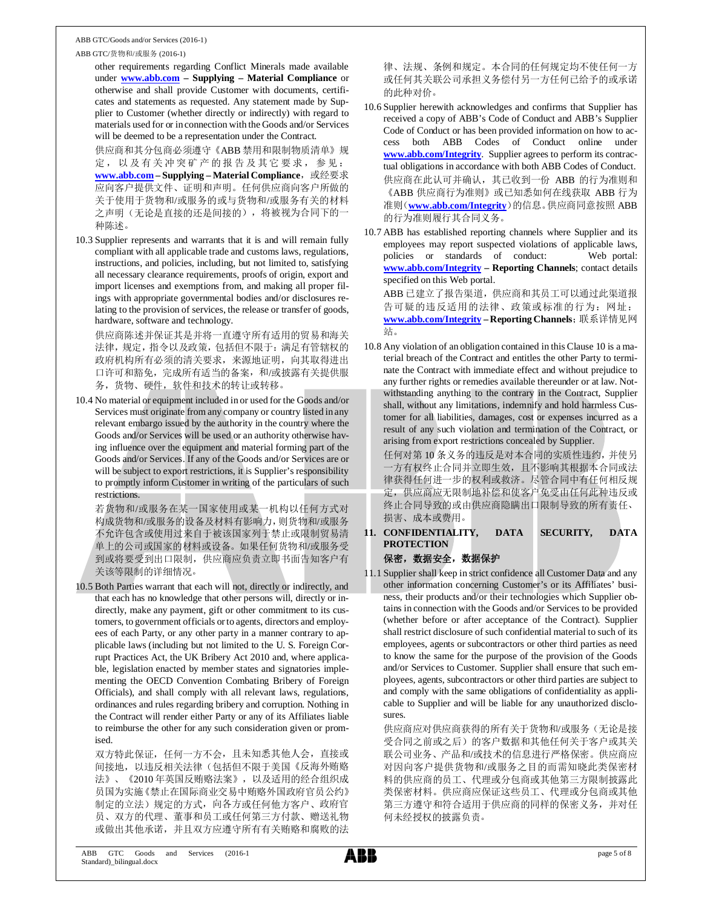#### ABB GTC/货物和/或服务 (2016-1)

other requirements regarding Conflict Minerals made available under **www.abb.com – Supplying – Material Compliance** or otherwise and shall provide Customer with documents, certificates and statements as requested. Any statement made by Supplier to Customer (whether directly or indirectly) with regard to materials used for or in connection with the Goods and/or Services will be deemed to be a representation under the Contract.

供应商和其分包商必须遵守《ABB 禁用和限制物质清单》规 定,以及有关冲突矿产的报告及其它要求,参见: www.abb.com - Supplying - Material Compliance, 或经要求 应向客户提供文件、证明和声明。任何供应商向客户所做的 关于使用于货物和/或服务的或与货物和/或服务有关的材料 之声明(无论是直接的还是间接的),将被视为合同下的一 种陈述。

10.3 Supplier represents and warrants that it is and will remain fully compliant with all applicable trade and customs laws, regulations, instructions, and policies, including, but not limited to, satisfying all necessary clearance requirements, proofs of origin, export and import licenses and exemptions from, and making all proper filings with appropriate governmental bodies and/or disclosures relating to the provision of services, the release or transfer of goods, hardware, software and technology.

供应商陈述并保证其是并将一直遵守所有适用的贸易和海关 法律,规定,指令以及政策,包括但不限于:满足有管辖权的 政府机构所有必须的清关要求,来源地证明,向其取得进出 口许可和豁免,完成所有适当的备案,和/或披露有关提供服 务,货物、硬件,软件和技术的转让或转移。

10.4 No material or equipment included in or used for the Goods and/or Services must originate from any company or country listed in any relevant embargo issued by the authority in the country where the Goods and/or Services will be used or an authority otherwise having influence over the equipment and material forming part of the Goods and/or Services. If any of the Goods and/or Services are or will be subject to export restrictions, it is Supplier's responsibility to promptly inform Customer in writing of the particulars of such restrictions.

若货物和/或服务在某一国家使用或某一机构以任何方式对 构成货物和/或服务的设备及材料有影响力,则货物和/或服务 不允许包含或使用过来自于被该国家列于禁止或限制贸易清 单上的公司或国家的材料或设备。如果任何货物和/或服务受 到或将要受到出口限制,供应商应负责立即书面告知客户有 关该等限制的详细情况。

10.5 Both Parties warrant that each will not, directly or indirectly, and that each has no knowledge that other persons will, directly or indirectly, make any payment, gift or other commitment to its customers, to government officials or to agents, directors and employees of each Party, or any other party in a manner contrary to applicable laws (including but not limited to the U. S. Foreign Corrupt Practices Act, the UK Bribery Act 2010 and, where applicable, legislation enacted by member states and signatories implementing the OECD Convention Combating Bribery of Foreign Officials), and shall comply with all relevant laws, regulations, ordinances and rules regarding bribery and corruption. Nothing in the Contract will render either Party or any of its Affiliates liable to reimburse the other for any such consideration given or promised.

双方特此保证,任何一方不会,且未知悉其他人会,直接或 间接地,以违反相关法律(包括但不限于美国《反海外贿赂 法》、《2010 年英国反贿赂法案》,以及适用的经合组织成 员国为实施《禁止在国际商业交易中贿赂外国政府官员公约》 制定的立法)规定的方式,向各方或任何他方客户、政府官 员、双方的代理、董事和员工或任何第三方付款、赠送礼物 或做出其他承诺,并且双方应遵守所有有关贿赂和腐败的法

律、法规、条例和规定。本合同的任何规定均不使任何一方 或任何其关联公司承担义务偿付另一方任何已给予的或承诺 的此种对价。

- 10.6 Supplier herewith acknowledges and confirms that Supplier has received a copy of ABB's Code of Conduct and ABB's Supplier Code of Conduct or has been provided information on how to access both ABB Codes of Conduct online under **www.abb.com/Integrity**. Supplier agrees to perform its contractual obligations in accordance with both ABB Codes of Conduct. 供应商在此认可并确认,其已收到一份 ABB 的行为准则和 《ABB 供应商行为准则》或已知悉如何在线获取 ABB 行为 准则(**www.abb.com/Integrity**)的信息。供应商同意按照 ABB 的行为准则履行其合同义务。
- 10.7 ABB has established reporting channels where Supplier and its employees may report suspected violations of applicable laws, policies or standards of conduct: Web portal: **www.abb.com/Integrity – Reporting Channels**; contact details specified on this Web portal. ABB 已建立了报告渠道,供应商和其员工可以通过此渠道报 告可疑的违反适用的法律、政策或标准的行为:网址: **www.abb.com/Integrity – Reporting Channels**;联系详情见网 站。
- 10.8 Any violation of an obligation contained in this Clause 10 is a material breach of the Contract and entitles the other Party to terminate the Contract with immediate effect and without prejudice to any further rights or remedies available thereunder or at law. Notwithstanding anything to the contrary in the Contract, Supplier shall, without any limitations, indemnify and hold harmless Customer for all liabilities, damages, cost or expenses incurred as a result of any such violation and termination of the Contract, or arising from export restrictions concealed by Supplier.

任何对第 10 条义务的违反是对本合同的实质性违约,并使另 一方有权终止合同并立即生效,且不影响其根据本合同或法 律获得任何进一步的权利或救济。尽管合同中有任何相反规 定,供应商应无限制地补偿和使客户免受由任何此种违反或 终止合同导致的或由供应商隐瞒出口限制导致的所有责任、 损害、成本或费用。

**11. CONFIDENTIALITY, DATA SECURITY, DATA PROTECTION**

#### 保密,数据安全,数据保护

11.1 Supplier shall keep in strict confidence all Customer Data and any other information concerning Customer's or its Affiliates' business, their products and/or their technologies which Supplier obtains in connection with the Goods and/or Services to be provided (whether before or after acceptance of the Contract). Supplier shall restrict disclosure of such confidential material to such of its employees, agents or subcontractors or other third parties as need to know the same for the purpose of the provision of the Goods and/or Services to Customer. Supplier shall ensure that such employees, agents, subcontractors or other third parties are subject to and comply with the same obligations of confidentiality as applicable to Supplier and will be liable for any unauthorized disclosures.

供应商应对供应商获得的所有关于货物和/或服务(无论是接 受合同之前或之后)的客户数据和其他任何关于客户或其关 联公司业务、产品和/或技术的信息进行严格保密。供应商应 对因向客户提供货物和/或服务之目的而需知晓此类保密材 料的供应商的员工、代理或分包商或其他第三方限制披露此 类保密材料。供应商应保证这些员工、代理或分包商或其他 第三方遵守和符合适用于供应商的同样的保密义务,并对任 何未经授权的披露负责。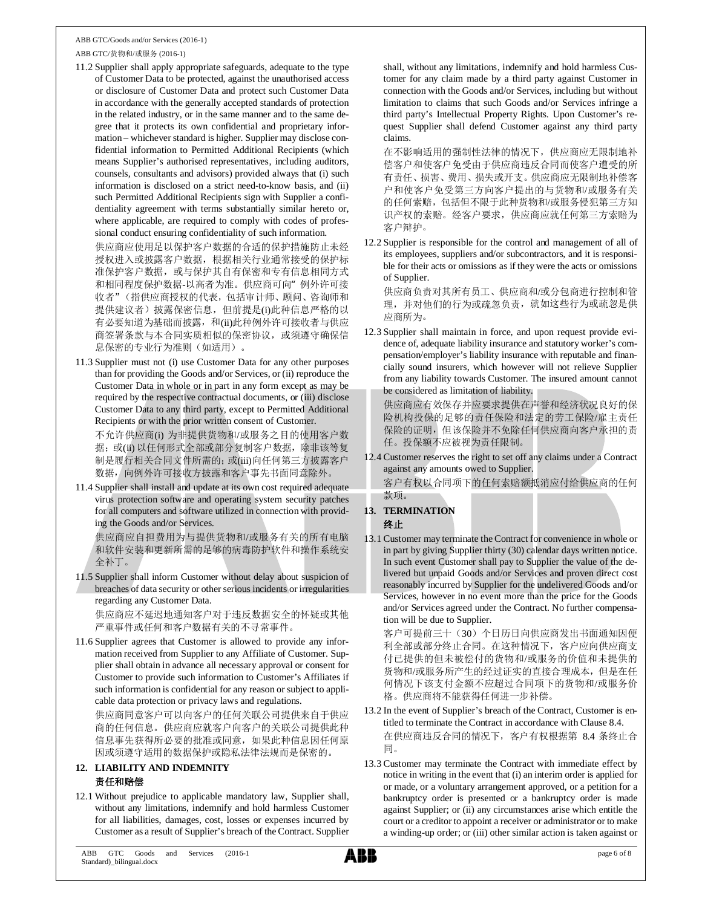ABB GTC/货物和/或服务 (2016-1)

11.2 Supplier shall apply appropriate safeguards, adequate to the type of Customer Data to be protected, against the unauthorised access or disclosure of Customer Data and protect such Customer Data in accordance with the generally accepted standards of protection in the related industry, or in the same manner and to the same degree that it protects its own confidential and proprietary information – whichever standard is higher. Supplier may disclose confidential information to Permitted Additional Recipients (which means Supplier's authorised representatives, including auditors, counsels, consultants and advisors) provided always that (i) such information is disclosed on a strict need-to-know basis, and (ii) such Permitted Additional Recipients sign with Supplier a confidentiality agreement with terms substantially similar hereto or, where applicable, are required to comply with codes of professional conduct ensuring confidentiality of such information. 供应商应使用足以保护客户数据的合适的保护措施防止未经

授权进入或披露客户数据,根据相关行业通常接受的保护标 准保护客户数据, 或与保护其自有保密和专有信息相同方式 和相同程度保护数据-以高者为准。供应商可向"例外许可接 收者"(指供应商授权的代表,包括审计师、顾问、咨询师和 提供建议者)披露保密信息,但前提是(i)此种信息严格的以 有必要知道为基础而披露, 和(ii)此种例外许可接收者与供应 商签署条款与本合同实质相似的保密协议, 或须遵守确保信 息保密的专业行为准则(如适用)。

11.3 Supplier must not (i) use Customer Data for any other purposes than for providing the Goods and/or Services, or (ii) reproduce the Customer Data in whole or in part in any form except as may be required by the respective contractual documents, or (iii) disclose Customer Data to any third party, except to Permitted Additional Recipients or with the prior written consent of Customer.

不允许供应商(i) 为非提供货物和/或服务之目的使用客户数 据; 或(ii) 以任何形式全部或部分复制客户数据, 除非该等复 制是履行相关合同文件所需的;或(iii)向任何第三方披露客户 数据,向例外许可接收方披露和客户事先书面同意除外。

11.4 Supplier shall install and update at its own cost required adequate virus protection software and operating system security patches for all computers and software utilized in connection with providing the Goods and/or Services.

供应商应自担费用为与提供货物和/或服务有关的所有电脑 和软件安装和更新所需的足够的病毒防护软件和操作系统安 全补丁。

11.5 Supplier shall inform Customer without delay about suspicion of breaches of data security or other serious incidents or irregularities regarding any Customer Data.

供应商应不延迟地通知客户对于违反数据安全的怀疑或其他 严重事件或任何和客户数据有关的不寻常事件。

11.6 Supplier agrees that Customer is allowed to provide any information received from Supplier to any Affiliate of Customer. Supplier shall obtain in advance all necessary approval or consent for Customer to provide such information to Customer's Affiliates if such information is confidential for any reason or subject to applicable data protection or privacy laws and regulations.

供应商同意客户可以向客户的任何关联公司提供来自于供应 商的任何信息。供应商应就客户向客户的关联公司提供此种 信息事先获得所必要的批准或同意,如果此种信息因任何原 因或须遵守适用的数据保护或隐私法律法规而是保密的。

#### **12. LIABILITY AND INDEMNITY** 责任和赔偿

12.1 Without prejudice to applicable mandatory law, Supplier shall, without any limitations, indemnify and hold harmless Customer for all liabilities, damages, cost, losses or expenses incurred by Customer as a result of Supplier's breach of the Contract. Supplier

shall, without any limitations, indemnify and hold harmless Customer for any claim made by a third party against Customer in connection with the Goods and/or Services, including but without limitation to claims that such Goods and/or Services infringe a third party's Intellectual Property Rights. Upon Customer's request Supplier shall defend Customer against any third party claims.

在不影响适用的强制性法律的情况下,供应商应无限制地补 偿客户和使客户免受由于供应商违反合同而使客户遭受的所 有责任、损害、费用、损失或开支。供应商应无限制地补偿客 户和使客户免受第三方向客户提出的与货物和/或服务有关 的任何索赔,包括但不限于此种货物和/或服务侵犯第三方知 识产权的索赔。经客户要求,供应商应就任何第三方索赔为 客户辩护。

12.2 Supplier is responsible for the control and management of all of its employees, suppliers and/or subcontractors, and it is responsible for their acts or omissions as if they were the acts or omissions of Supplier.

供应商负责对其所有员工、供应商和/或分包商进行控制和管 理,并对他们的行为或疏忽负责,就如这些行为或疏忽是供 应商所为。

12.3 Supplier shall maintain in force, and upon request provide evidence of, adequate liability insurance and statutory worker's compensation/employer's liability insurance with reputable and financially sound insurers, which however will not relieve Supplier from any liability towards Customer. The insured amount cannot be considered as limitation of liability.

供应商应有效保存并应要求提供在声誉和经济状况良好的保 险机构投保的足够的责任保险和法定的劳工保险/雇主责任 保险的证明,但该保险并不免除任何供应商向客户承担的责 任。投保额不应被视为责任限制。

12.4 Customer reserves the right to set off any claims under a Contract against any amounts owed to Supplier. 客户有权以合同项下的任何索赔额抵消应付给供应商的任何 款项。

### **13. TERMINATION**

- 终止
- 13.1 Customer may terminate the Contract for convenience in whole or in part by giving Supplier thirty (30) calendar days written notice. In such event Customer shall pay to Supplier the value of the delivered but unpaid Goods and/or Services and proven direct cost reasonably incurred by Supplier for the undelivered Goods and/or Services, however in no event more than the price for the Goods and/or Services agreed under the Contract. No further compensation will be due to Supplier.

客户可提前三十(30)个日历日向供应商发出书面通知因便 利全部或部分终止合同。在这种情况下,客户应向供应商支 付已提供的但未被偿付的货物和/或服务的价值和未提供的 货物和/或服务所产生的经过证实的直接合理成本,但是在任 何情况下该支付金额不应超过合同项下的货物和/或服务价 格。供应商将不能获得任何进一步补偿。

13.2 In the event of Supplier's breach of the Contract, Customer is entitled to terminate the Contract in accordance with Clause 8.4. 在供应商违反合同的情况下,客户有权根据第 8.4 条终止合 同。

13.3 Customer may terminate the Contract with immediate effect by notice in writing in the event that (i) an interim order is applied for or made, or a voluntary arrangement approved, or a petition for a bankruptcy order is presented or a bankruptcy order is made against Supplier; or (ii) any circumstances arise which entitle the court or a creditor to appoint a receiver or administrator or to make a winding-up order; or (iii) other similar action is taken against or

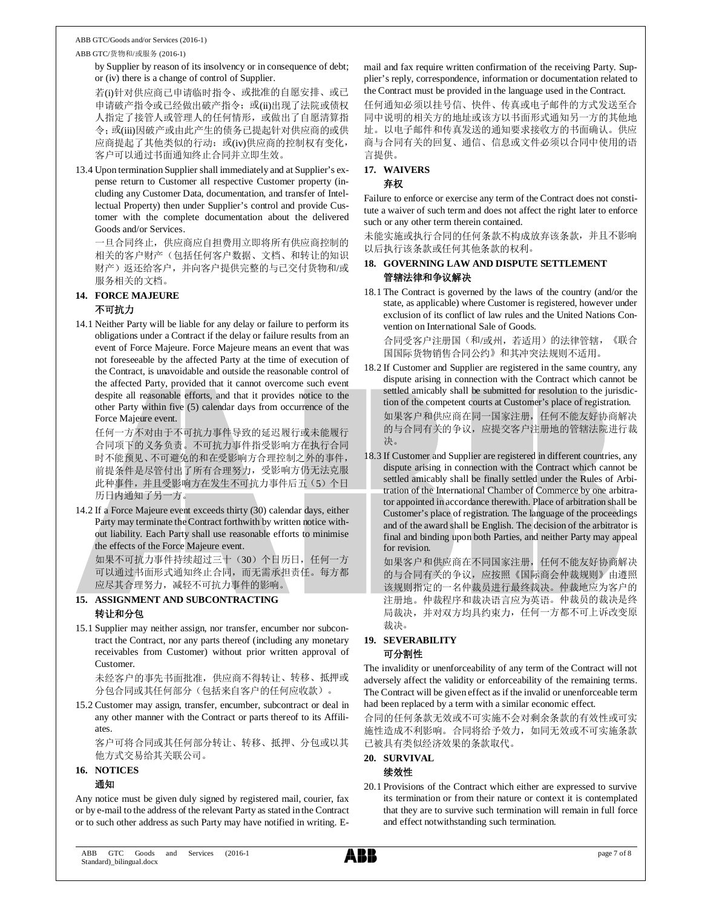ABB GTC/货物和/或服务 (2016-1)

by Supplier by reason of its insolvency or in consequence of debt; or (iv) there is a change of control of Supplier.

若(i)针对供应商已申请临时指令、或批准的自愿安排、或已 申请破产指令或已经做出破产指令; 或(ii)出现了法院或债权 人指定了接管人或管理人的任何情形,或做出了自愿清算指 令;或(iii)因破产或由此产生的债务已提起针对供应商的或供 应商提起了其他类似的行动;或(iv)供应商的控制权有变化, 客户可以通过书面通知终止合同并立即生效。

13.4 Upon termination Supplier shall immediately and at Supplier's expense return to Customer all respective Customer property (including any Customer Data, documentation, and transfer of Intellectual Property) then under Supplier's control and provide Customer with the complete documentation about the delivered Goods and/or Services.

一旦合同终止,供应商应自担费用立即将所有供应商控制的 相关的客户财产(包括任何客户数据、文档、和转让的知识 财产)返还给客户,并向客户提供完整的与已交付货物和/或 服务相关的文档。

#### **14. FORCE MAJEURE** 不可抗力

14.1 Neither Party will be liable for any delay or failure to perform its obligations under a Contract if the delay or failure results from an event of Force Majeure. Force Majeure means an event that was not foreseeable by the affected Party at the time of execution of the Contract, is unavoidable and outside the reasonable control of the affected Party, provided that it cannot overcome such event despite all reasonable efforts, and that it provides notice to the other Party within five (5) calendar days from occurrence of the Force Majeure event.

任何一方不对由于不可抗力事件导致的延迟履行或未能履行 合同项下的义务负责。不可抗力事件指受影响方在执行合同 时不能预见、不可避免的和在受影响方合理控制之外的事件, 前提条件是尽管付出了所有合理努力,受影响方仍无法克服 此种事件,并且受影响方在发生不可抗力事件后五(5)个日 历日内通知了另一方。

14.2 If a Force Majeure event exceeds thirty (30) calendar days, either Party may terminate the Contract forthwith by written notice without liability. Each Party shall use reasonable efforts to minimise the effects of the Force Majeure event.

如果不可抗力事件持续超过三十(30)个日历日,任何一方 可以通过书面形式通知终止合同,而无需承担责任。每方都 应尽其合理努力,减轻不可抗力事件的影响。

#### **15. ASSIGNMENT AND SUBCONTRACTING** 转让和分包

15.1 Supplier may neither assign, nor transfer, encumber nor subcontract the Contract, nor any parts thereof (including any monetary receivables from Customer) without prior written approval of Customer.

未经客户的事先书面批准,供应商不得转让、转移、抵押或 分包合同或其任何部分(包括来自客户的任何应收款)。

15.2 Customer may assign, transfer, encumber, subcontract or deal in any other manner with the Contract or parts thereof to its Affiliates.

客户可将合同或其任何部分转让、转移、抵押、分包或以其 他方式交易给其关联公司。

### **16. NOTICES**

#### 通知

Any notice must be given duly signed by registered mail, courier, fax or by e-mail to the address of the relevant Party as stated in the Contract or to such other address as such Party may have notified in writing. E-

mail and fax require written confirmation of the receiving Party. Supplier's reply, correspondence, information or documentation related to the Contract must be provided in the language used in the Contract.

任何通知必须以挂号信、快件、传真或电子邮件的方式发送至合 同中说明的相关方的地址或该方以书面形式通知另一方的其他地 址。以电子邮件和传真发送的通知要求接收方的书面确认。供应 商与合同有关的回复、通信、信息或文件必须以合同中使用的语 言提供。

### **17. WAIVERS**

#### 弃权

Failure to enforce or exercise any term of the Contract does not constitute a waiver of such term and does not affect the right later to enforce such or any other term therein contained.

未能实施或执行合同的任何条款不构成放弃该条款,并且不影响 以后执行该条款或任何其他条款的权利。

#### **18. GOVERNING LAW AND DISPUTE SETTLEMENT** 管辖法律和争议解决

18.1 The Contract is governed by the laws of the country (and/or the state, as applicable) where Customer is registered, however under exclusion of its conflict of law rules and the United Nations Convention on International Sale of Goods.

合同受客户注册国(和/或州,若适用)的法律管辖,《联合 国国际货物销售合同公约》和其冲突法规则不适用。

- 18.2 If Customer and Supplier are registered in the same country, any dispute arising in connection with the Contract which cannot be settled amicably shall be submitted for resolution to the jurisdiction of the competent courts at Customer's place of registration. 如果客户和供应商在同一国家注册,任何不能友好协商解决 的与合同有关的争议,应提交客户注册地的管辖法院进行裁 决。
- 18.3 If Customer and Supplier are registered in different countries, any dispute arising in connection with the Contract which cannot be settled amicably shall be finally settled under the Rules of Arbitration of the International Chamber of Commerce by one arbitrator appointed in accordance therewith. Place of arbitration shall be Customer's place of registration. The language of the proceedings and of the award shall be English. The decision of the arbitrator is final and binding upon both Parties, and neither Party may appeal for revision.

如果客户和供应商在不同国家注册,任何不能友好协商解决 的与合同有关的争议,应按照《国际商会仲裁规则》由遵照 该规则指定的一名仲裁员进行最终裁决。仲裁地应为客户的 注册地。仲裁程序和裁决语言应为英语。仲裁员的裁决是终 局裁决,并对双方均具约束力,任何一方都不可上诉改变原 裁决。

#### **19. SEVERABILITY** 可分割性

The invalidity or unenforceability of any term of the Contract will not adversely affect the validity or enforceability of the remaining terms. The Contract will be given effect as if the invalid or unenforceable term had been replaced by a term with a similar economic effect.

合同的任何条款无效或不可实施不会对剩余条款的有效性或可实 施性造成不利影响。合同将给予效力,如同无效或不可实施条款 已被具有类似经济效果的条款取代。

**20. SURVIVAL**

#### 续效性

20.1 Provisions of the Contract which either are expressed to survive its termination or from their nature or context it is contemplated that they are to survive such termination will remain in full force and effect notwithstanding such termination.